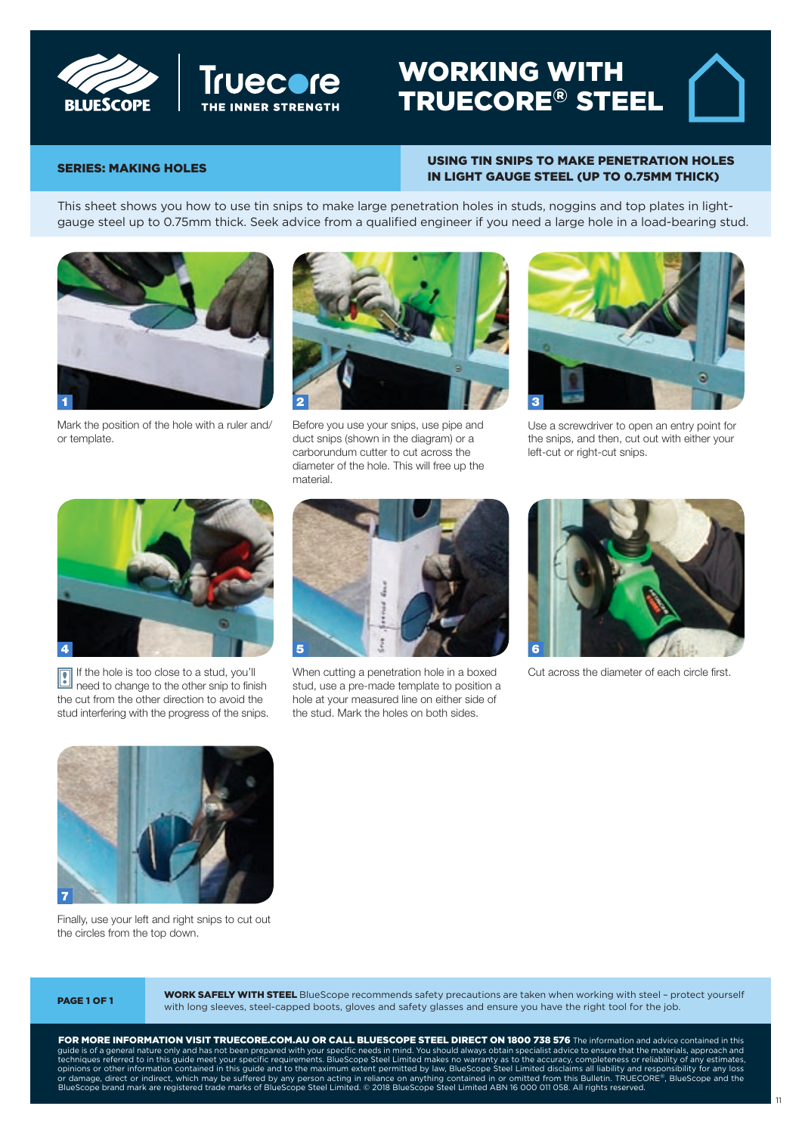



# WORKING WITH LUESCOPE  $\left| \begin{array}{ccc} \text{II} & \text{II} & \text{II} & \text{II} & \text{II} & \text{II} & \text{II} & \text{II} & \text{II} & \text{II} & \text{II} & \text{II} & \text{II} & \text{II} & \text{II} & \text{II} & \text{II} & \text{II} & \text{II} & \text{II} & \text{II} & \text{II} & \text{II} & \text{II} & \text{II} & \text{II} & \text{II} & \text{II} & \text{II} & \text{II} & \text{II} & \text{II} & \text{II} & \text{$

#### SERIES: MAKING HOLES USING TIN SNIPS TO MAKE PENETRATION HOLES truecore.com.au/tradies IN LIGHT GAUGE STEEL (UP TO 0.75MM THICK) Using tin snips to make penetration

**SERIES: MAKING HOLES** 

This sheet shows you how to use tin snips to make large penetration holes in studs, noggins and top plates in lightgauge steel up to 0.75mm thick. Seek advice from a qualified engineer if you need a large hole in a load-bearing stud.



Mark the position of the hole with a ruler and/ or template.



Before you use your snips, use pipe and duct snips (shown in the diagram) or a carborundum cutter to cut across the diameter of the hole. This will free up the material.



For more instruction sheets visit

Use a screwdriver to open an entry point for the snips, and then, cut out with either your left-cut or right-cut snips.



If the hole is too close to a stud, you'll If the hole is too close to a stud, you'll<br>I need to change to the other snip to finish the cut from the other direction to avoid the stud interfering with the progress of the snips.



When cutting a penetration hole in a boxed stud, use a pre-made template to position a hole at your measured line on either side of the stud. Mark the holes on both sides.



Cut across the diameter of each circle first.



Finally, use your left and right snips to cut out the circles from the top down.

**WORK SAFELY WITH STEEL** BlueScope recommends safety precautions are taken when working with steel - protect yourself WORK SAFELT WITH STEEL BIJESCOPE recommends safety precautions are taken when working with steel-provided with long sleeves, steel-capped boots, gloves and safety glasses and ensure you have the right tool for the job.

FOR MORE INFORMATION VISIT TRUECORE.COM.AU OR CALL BLUESCOPE STEEL DIRECT ON 1800 738 576 The information and advice contained in this guide is of a general nature only and has not been prepared with your specific needs in mind. You should always obtain specialist advice to ensure that the materials, approach and techniques referred to in this guide meet FOR MORE INFORMATION VISIT INDECORE.COM.AU OR CALL BLUESCOPE STEEL DIRECT 1999.<br>SUIDE IS OF A GENERALIZE ON VARI BAS DOT BEEN DIRECT TRADIES OF CALL BLUES OF A GENERAL SOLIS AWAYS OBTAIN SPECIALIST techniques referred to in this guide meet your specific requirements. BlueScope Steel Limited makes no warrant opinions or other information conta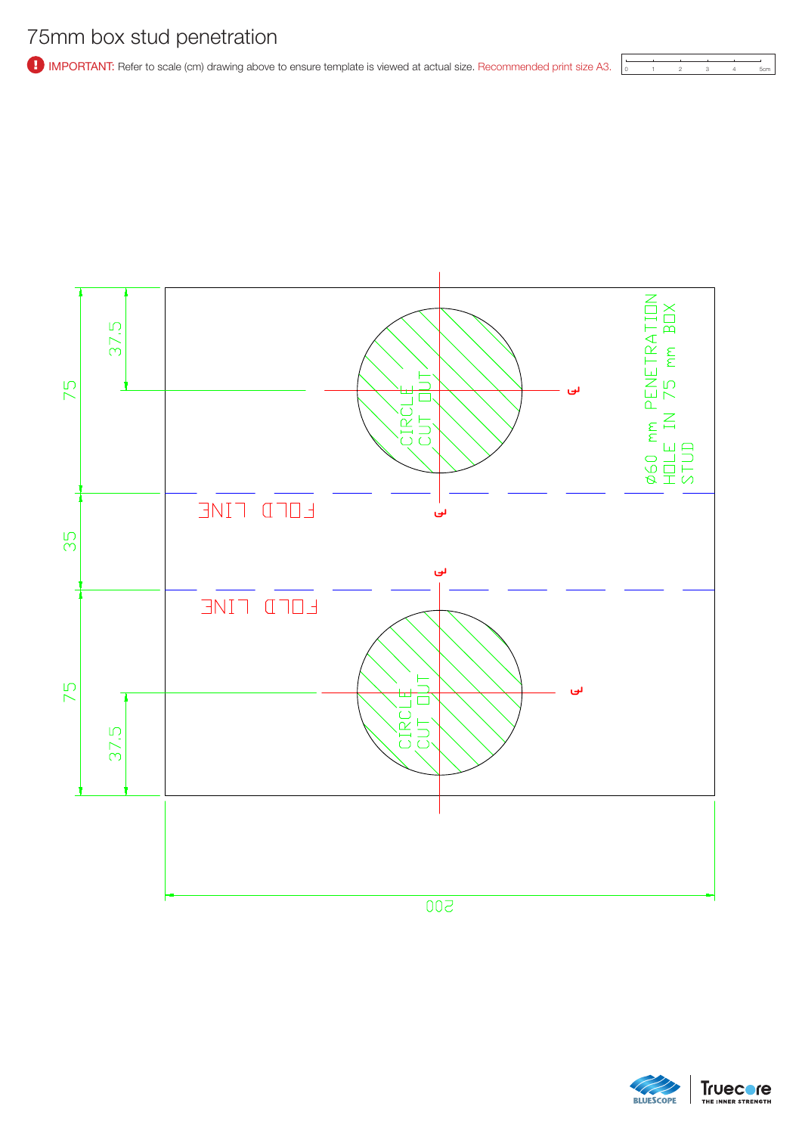# 75mm box stud penetration

**1** IMPORTANT: Refer to scale (cm) drawing above to ensure template is viewed at actual size. Recommended print size A3.



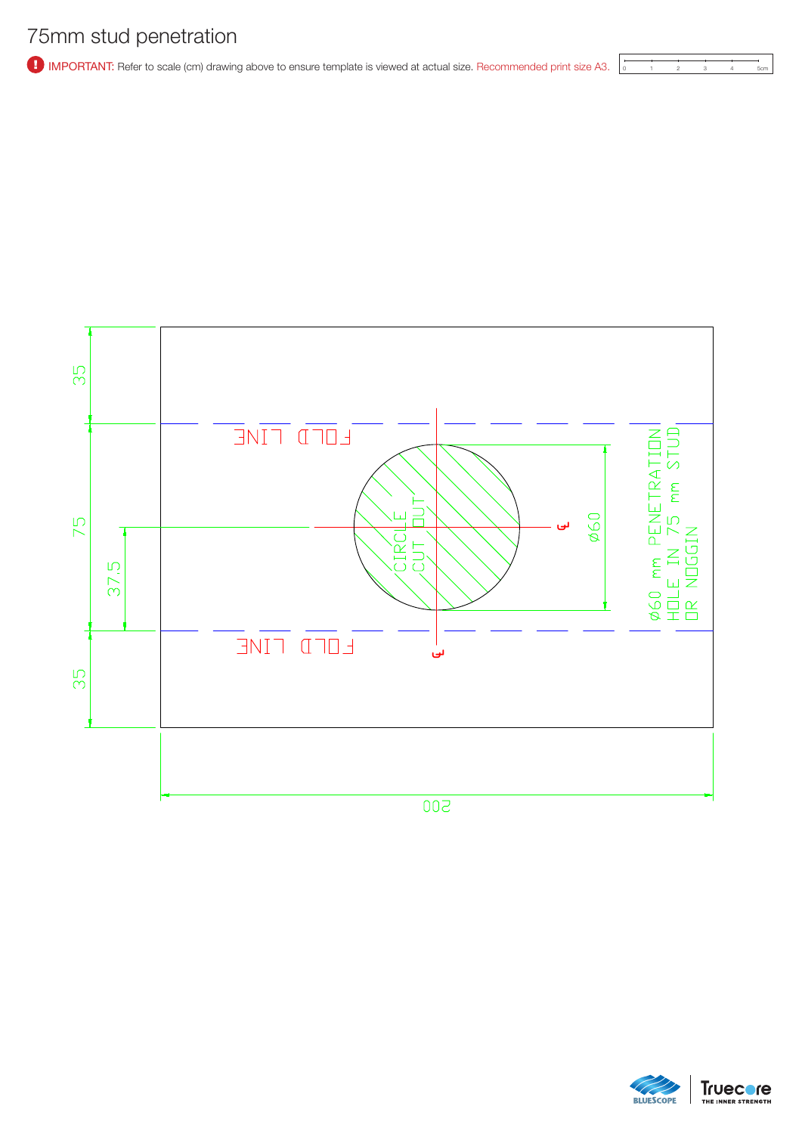## 75mm stud penetration

<sup>1</sup> IMPORTANT: Refer to scale (cm) drawing above to ensure template is viewed at actual size. Recommended print size A3.



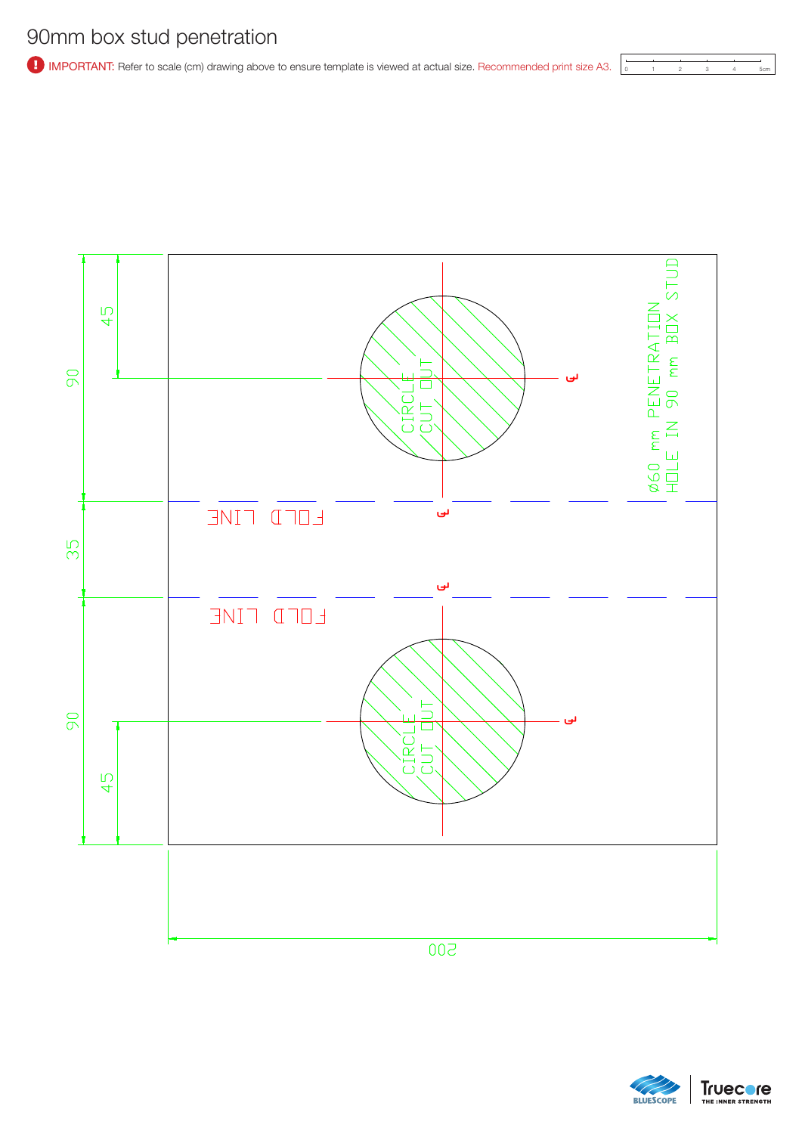<sup>1</sup> IMPORTANT: Refer to scale (cm) drawing above to ensure template is viewed at actual size. Recommended print size A3.





**Truecore BLUESCOPE** THE INNER STRENGTH